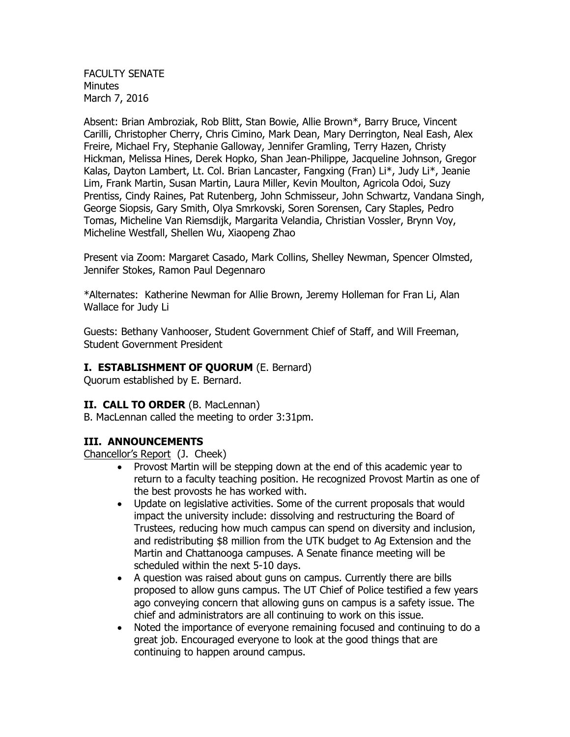FACULTY SENATE Minutes March 7, 2016

Absent: Brian Ambroziak, Rob Blitt, Stan Bowie, Allie Brown\*, Barry Bruce, Vincent Carilli, Christopher Cherry, Chris Cimino, Mark Dean, Mary Derrington, Neal Eash, Alex Freire, Michael Fry, Stephanie Galloway, Jennifer Gramling, Terry Hazen, Christy Hickman, Melissa Hines, Derek Hopko, Shan Jean-Philippe, Jacqueline Johnson, Gregor Kalas, Dayton Lambert, Lt. Col. Brian Lancaster, Fangxing (Fran) Li\*, Judy Li\*, Jeanie Lim, Frank Martin, Susan Martin, Laura Miller, Kevin Moulton, Agricola Odoi, Suzy Prentiss, Cindy Raines, Pat Rutenberg, John Schmisseur, John Schwartz, Vandana Singh, George Siopsis, Gary Smith, Olya Smrkovski, Soren Sorensen, Cary Staples, Pedro Tomas, Micheline Van Riemsdijk, Margarita Velandia, Christian Vossler, Brynn Voy, Micheline Westfall, Shellen Wu, Xiaopeng Zhao

Present via Zoom: Margaret Casado, Mark Collins, Shelley Newman, Spencer Olmsted, Jennifer Stokes, Ramon Paul Degennaro

\*Alternates: Katherine Newman for Allie Brown, Jeremy Holleman for Fran Li, Alan Wallace for Judy Li

Guests: Bethany Vanhooser, Student Government Chief of Staff, and Will Freeman, Student Government President

#### **I. ESTABLISHMENT OF QUORUM** (E. Bernard)

Quorum established by E. Bernard.

#### **II. CALL TO ORDER** (B. MacLennan)

B. MacLennan called the meeting to order 3:31pm.

### **III. ANNOUNCEMENTS**

Chancellor's Report (J. Cheek)

- Provost Martin will be stepping down at the end of this academic year to return to a faculty teaching position. He recognized Provost Martin as one of the best provosts he has worked with.
- Update on legislative activities. Some of the current proposals that would impact the university include: dissolving and restructuring the Board of Trustees, reducing how much campus can spend on diversity and inclusion, and redistributing \$8 million from the UTK budget to Ag Extension and the Martin and Chattanooga campuses. A Senate finance meeting will be scheduled within the next 5-10 days.
- A question was raised about guns on campus. Currently there are bills proposed to allow guns campus. The UT Chief of Police testified a few years ago conveying concern that allowing guns on campus is a safety issue. The chief and administrators are all continuing to work on this issue.
- Noted the importance of everyone remaining focused and continuing to do a great job. Encouraged everyone to look at the good things that are continuing to happen around campus.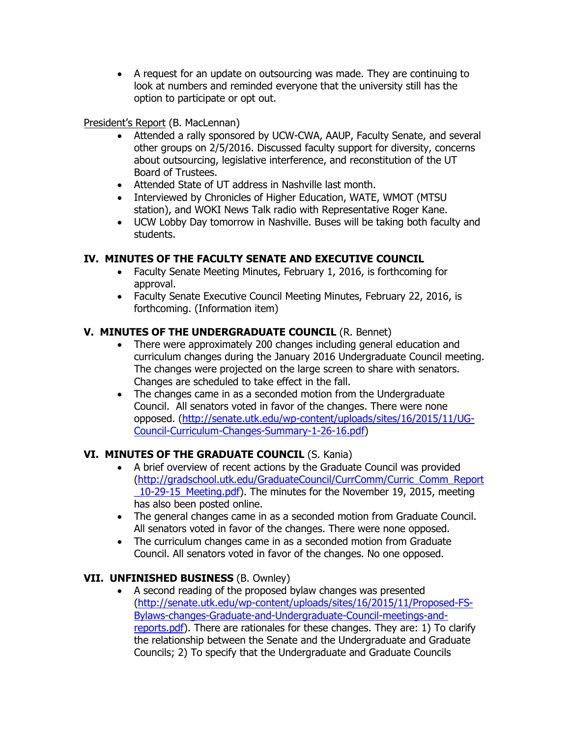A request for an update on outsourcing was made. They are continuing to look at numbers and reminded everyone that the university still has the option to participate or opt out.

## President's Report (B. MacLennan)

- Attended a rally sponsored by UCW-CWA, AAUP, Faculty Senate, and several other groups on 2/5/2016. Discussed faculty support for diversity, concerns about outsourcing, legislative interference, and reconstitution of the UT Board of Trustees.
- Attended State of UT address in Nashville last month.
- Interviewed by Chronicles of Higher Education, WATE, WMOT (MTSU station), and WOKI News Talk radio with Representative Roger Kane.
- UCW Lobby Day tomorrow in Nashville. Buses will be taking both faculty and students.

## **IV. MINUTES OF THE FACULTY SENATE AND EXECUTIVE COUNCIL**

- Faculty Senate Meeting Minutes, February 1, 2016, is forthcoming for approval.
- Faculty Senate Executive Council Meeting Minutes, February 22, 2016, is forthcoming. (Information item)

## **V. MINUTES OF THE UNDERGRADUATE COUNCIL** (R. Bennet)

- There were approximately 200 changes including general education and curriculum changes during the January 2016 Undergraduate Council meeting. The changes were projected on the large screen to share with senators. Changes are scheduled to take effect in the fall.
- The changes came in as a seconded motion from the Undergraduate Council. All senators voted in favor of the changes. There were none opposed. [\(http://senate.utk.edu/wp-content/uploads/sites/16/2015/11/UG-](http://senate.utk.edu/wp-content/uploads/sites/16/2015/11/UG-Council-Curriculum-Changes-Summary-1-26-16.pdf)[Council-Curriculum-Changes-Summary-1-26-16.pdf\)](http://senate.utk.edu/wp-content/uploads/sites/16/2015/11/UG-Council-Curriculum-Changes-Summary-1-26-16.pdf)

## **VI. MINUTES OF THE GRADUATE COUNCIL** (S. Kania)

- A brief overview of recent actions by the Graduate Council was provided [\(http://gradschool.utk.edu/GraduateCouncil/CurrComm/Curric\\_Comm\\_Report](http://gradschool.utk.edu/GraduateCouncil/CurrComm/Curric_Comm_Report_10-29-15_Meeting.pdf) [\\_10-29-15\\_Meeting.pdf\)](http://gradschool.utk.edu/GraduateCouncil/CurrComm/Curric_Comm_Report_10-29-15_Meeting.pdf). The minutes for the November 19, 2015, meeting has also been posted online.
- The general changes came in as a seconded motion from Graduate Council. All senators voted in favor of the changes. There were none opposed.
- The curriculum changes came in as a seconded motion from Graduate Council. All senators voted in favor of the changes. No one opposed.

## **VII. UNFINISHED BUSINESS** (B. Ownley)

 A second reading of the proposed bylaw changes was presented [\(http://senate.utk.edu/wp-content/uploads/sites/16/2015/11/Proposed-FS-](http://senate.utk.edu/wp-content/uploads/sites/16/2015/11/Proposed-FS-Bylaws-changes-Graduate-and-Undergraduate-Council-meetings-and-reports.pdf)[Bylaws-changes-Graduate-and-Undergraduate-Council-meetings-and](http://senate.utk.edu/wp-content/uploads/sites/16/2015/11/Proposed-FS-Bylaws-changes-Graduate-and-Undergraduate-Council-meetings-and-reports.pdf)[reports.pdf\)](http://senate.utk.edu/wp-content/uploads/sites/16/2015/11/Proposed-FS-Bylaws-changes-Graduate-and-Undergraduate-Council-meetings-and-reports.pdf). There are rationales for these changes. They are: 1) To clarify the relationship between the Senate and the Undergraduate and Graduate Councils; 2) To specify that the Undergraduate and Graduate Councils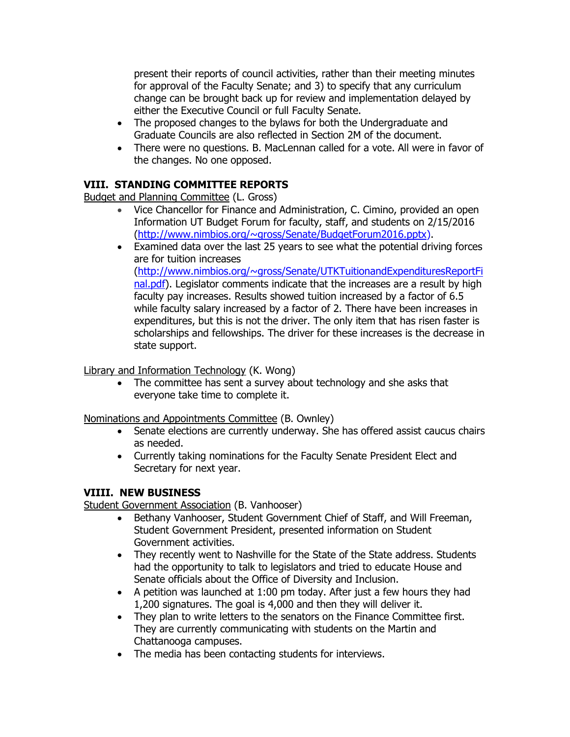present their reports of council activities, rather than their meeting minutes for approval of the Faculty Senate; and 3) to specify that any curriculum change can be brought back up for review and implementation delayed by either the Executive Council or full Faculty Senate.

- The proposed changes to the bylaws for both the Undergraduate and Graduate Councils are also reflected in Section 2M of the document.
- There were no questions. B. MacLennan called for a vote. All were in favor of the changes. No one opposed.

## **VIII. STANDING COMMITTEE REPORTS**

Budget and Planning Committee (L. Gross)

- Vice Chancellor for Finance and Administration, C. Cimino, provided an open Information UT Budget Forum for faculty, staff, and students on 2/15/2016 [\(http://www.nimbios.org/~gross/Senate/BudgetForum2016.pptx\)](http://www.nimbios.org/~gross/Senate/BudgetForum2016.pptx).
- Examined data over the last 25 years to see what the potential driving forces are for tuition increases [\(http://www.nimbios.org/~gross/Senate/UTKTuitionandExpendituresReportFi](http://www.nimbios.org/~gross/Senate/UTKTuitionandExpendituresReportFinal.pdf) [nal.pdf\)](http://www.nimbios.org/~gross/Senate/UTKTuitionandExpendituresReportFinal.pdf). Legislator comments indicate that the increases are a result by high faculty pay increases. Results showed tuition increased by a factor of 6.5 while faculty salary increased by a factor of 2. There have been increases in expenditures, but this is not the driver. The only item that has risen faster is scholarships and fellowships. The driver for these increases is the decrease in state support.

Library and Information Technology (K. Wong)

• The committee has sent a survey about technology and she asks that everyone take time to complete it.

Nominations and Appointments Committee (B. Ownley)

- Senate elections are currently underway. She has offered assist caucus chairs as needed.
- Currently taking nominations for the Faculty Senate President Elect and Secretary for next year.

## **VIIII. NEW BUSINESS**

Student Government Association (B. Vanhooser)

- Bethany Vanhooser, Student Government Chief of Staff, and Will Freeman, Student Government President, presented information on Student Government activities.
- They recently went to Nashville for the State of the State address. Students had the opportunity to talk to legislators and tried to educate House and Senate officials about the Office of Diversity and Inclusion.
- A petition was launched at 1:00 pm today. After just a few hours they had 1,200 signatures. The goal is 4,000 and then they will deliver it.
- They plan to write letters to the senators on the Finance Committee first. They are currently communicating with students on the Martin and Chattanooga campuses.
- The media has been contacting students for interviews.